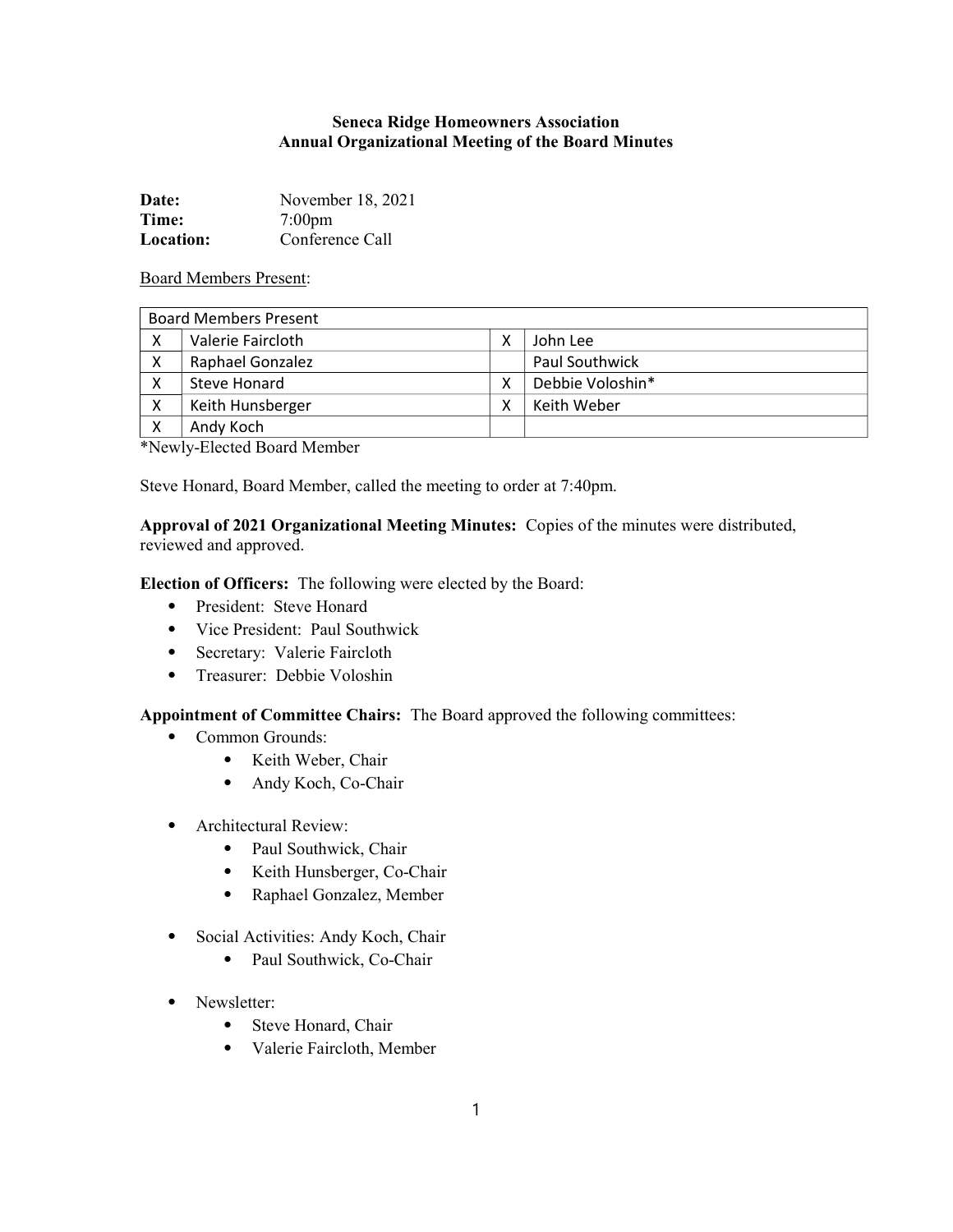## Seneca Ridge Homeowners Association Annual Organizational Meeting of the Board Minutes

| Date:            | November 18, 2021 |
|------------------|-------------------|
| Time:            | $7:00$ pm         |
| <b>Location:</b> | Conference Call   |

Board Members Present:

| <b>Board Members Present</b> |                   |   |                  |  |
|------------------------------|-------------------|---|------------------|--|
| χ                            | Valerie Faircloth |   | John Lee         |  |
| X                            | Raphael Gonzalez  |   | Paul Southwick   |  |
| X                            | Steve Honard      |   | Debbie Voloshin* |  |
| х                            | Keith Hunsberger  | x | Keith Weber      |  |
| X                            | Andy Koch         |   |                  |  |

\*Newly-Elected Board Member

Steve Honard, Board Member, called the meeting to order at 7:40pm.

Approval of 2021 Organizational Meeting Minutes: Copies of the minutes were distributed, reviewed and approved.

Election of Officers: The following were elected by the Board:

- ⦁ President: Steve Honard
- ⦁ Vice President: Paul Southwick
- ⦁ Secretary: Valerie Faircloth
- ⦁ Treasurer: Debbie Voloshin

## Appointment of Committee Chairs: The Board approved the following committees:

- ⦁ Common Grounds:
	- ⦁ Keith Weber, Chair
	- ⦁ Andy Koch, Co-Chair
- ⦁ Architectural Review:
	- ⦁ Paul Southwick, Chair
	- ⦁ Keith Hunsberger, Co-Chair
	- ⦁ Raphael Gonzalez, Member
- ⦁ Social Activities: Andy Koch, Chair
	- ⦁ Paul Southwick, Co-Chair
- ⦁ Newsletter:
	- ⦁ Steve Honard, Chair
	- ⦁ Valerie Faircloth, Member